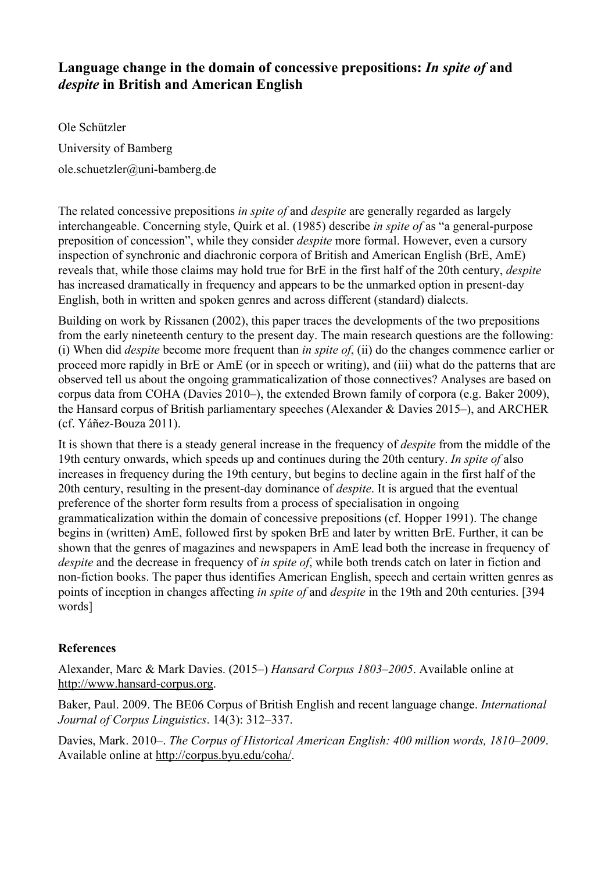## Language change in the domain of concessive prepositions: In spite of and *despite*  **in British and American English**

Ole Schützler University of Bamberg ole.schuetzler@uni-bamberg.de

The related concessive prepositions *in spite of* and *despite* are generally regarded as largely interchangeable. Concerning style, Quirk et al. (1985) describe *in spite of* as "a general-purpose preposition of concession", while they consider *despite* more formal. However, even a cursory inspection of synchronic and diachronic corpora of British and American English (BrE, AmE) reveals that, while those claims may hold true for BrE in the first half of the 20th century, *despite* has increased dramatically in frequency and appears to be the unmarked option in present-day English, both in written and spoken genres and across different (standard) dialects.

Building on work by Rissanen (2002), this paper traces the developments of the two prepositions from the early nineteenth century to the present day. The main research questions are the following: (i) When did *despite* become more frequent than *in spite of*, (ii) do the changes commence earlier or proceed more rapidly in BrE or AmE (or in speech or writing), and (iii) what do the patterns that are observed tell us about the ongoing grammaticalization of those connectives? Analyses are based on corpus data from COHA (Davies 2010–), the extended Brown family of corpora (e.g. Baker 2009), the Hansard corpus of British parliamentary speeches (Alexander & Davies 2015–), and ARCHER (cf. Yáñez-Bouza 2011).

It is shown that there is a steady general increase in the frequency of *despite* from the middle of the 19th century onwards, which speeds up and continues during the 20th century. *In spite of* also increases in frequency during the 19th century, but begins to decline again in the first half of the 20th century, resulting in the present-day dominance of *despite*. It is argued that the eventual preference of the shorter form results from a process of specialisation in ongoing grammaticalization within the domain of concessive prepositions (cf. Hopper 1991). The change begins in (written) AmE, followed first by spoken BrE and later by written BrE. Further, it can be shown that the genres of magazines and newspapers in AmE lead both the increase in frequency of *despite* and the decrease in frequency of *in spite of*, while both trends catch on later in fiction and non-fiction books. The paper thus identifies American English, speech and certain written genres as points of inception in changes affecting *in spite of* and *despite* in the 19th and 20th centuries. [394 words]

## **References**

Alexander, Marc & Mark Davies. (2015–) *Hansard Corpus 1803–2005*. Available online at http://www.hansard-corpus.org.

Baker, Paul. 2009. The BE06 Corpus of British English and recent language change. *International Journal of Corpus Linguistics*. 14(3): 312–337.

Davies, Mark. 2010–. *The Corpus of Historical American English: 400 million words, 1810–2009*. Available online at http://corpus.byu.edu/coha/.